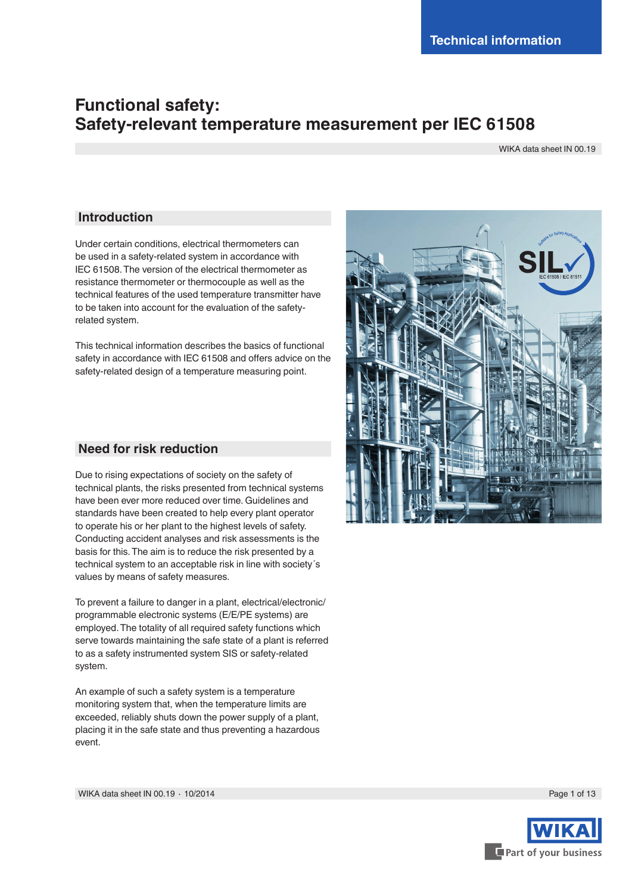# **Functional safety: Safety-relevant temperature measurement per IEC 61508**

WIKA data sheet IN 00.19

### **Introduction**

Under certain conditions, electrical thermometers can be used in a safety-related system in accordance with IEC 61508. The version of the electrical thermometer as resistance thermometer or thermocouple as well as the technical features of the used temperature transmitter have to be taken into account for the evaluation of the safetyrelated system.

This technical information describes the basics of functional safety in accordance with IEC 61508 and offers advice on the safety-related design of a temperature measuring point.

### **Need for risk reduction**

Due to rising expectations of society on the safety of technical plants, the risks presented from technical systems have been ever more reduced over time. Guidelines and standards have been created to help every plant operator to operate his or her plant to the highest levels of safety. Conducting accident analyses and risk assessments is the basis for this. The aim is to reduce the risk presented by a technical system to an acceptable risk in line with society´s values by means of safety measures.

To prevent a failure to danger in a plant, electrical/electronic/ programmable electronic systems (E/E/PE systems) are employed. The totality of all required safety functions which serve towards maintaining the safe state of a plant is referred to as a safety instrumented system SIS or safety-related system.

An example of such a safety system is a temperature monitoring system that, when the temperature limits are exceeded, reliably shuts down the power supply of a plant, placing it in the safe state and thus preventing a hazardous event.



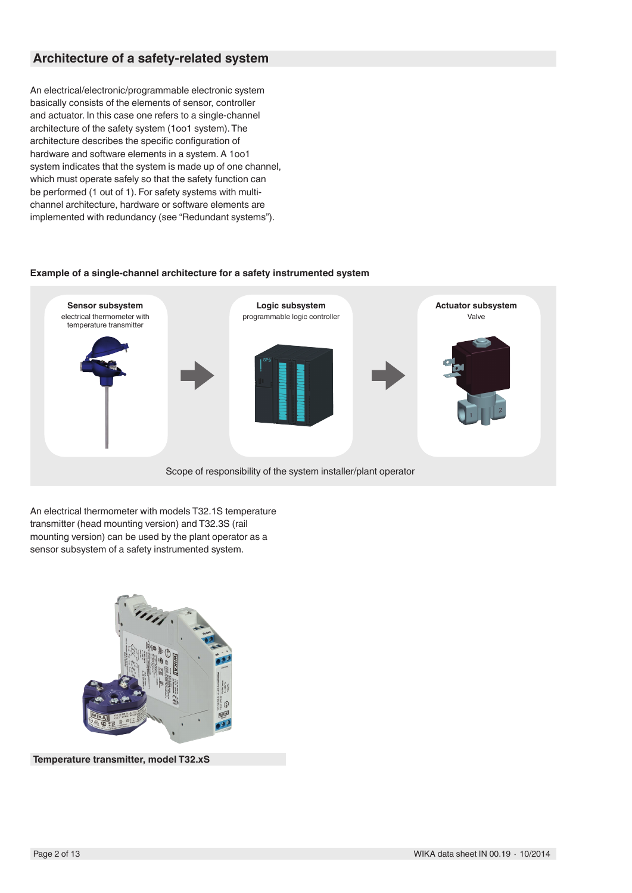## **Architecture of a safety-related system**

An electrical/electronic/programmable electronic system basically consists of the elements of sensor, controller and actuator. In this case one refers to a single-channel architecture of the safety system (1oo1 system). The architecture describes the specific configuration of hardware and software elements in a system. A 1oo1 system indicates that the system is made up of one channel, which must operate safely so that the safety function can be performed (1 out of 1). For safety systems with multichannel architecture, hardware or software elements are implemented with redundancy (see "Redundant systems").

#### **Example of a single-channel architecture for a safety instrumented system**



An electrical thermometer with models T32.1S temperature transmitter (head mounting version) and T32.3S (rail mounting version) can be used by the plant operator as a sensor subsystem of a safety instrumented system.



**Temperature transmitter, model T32.xS**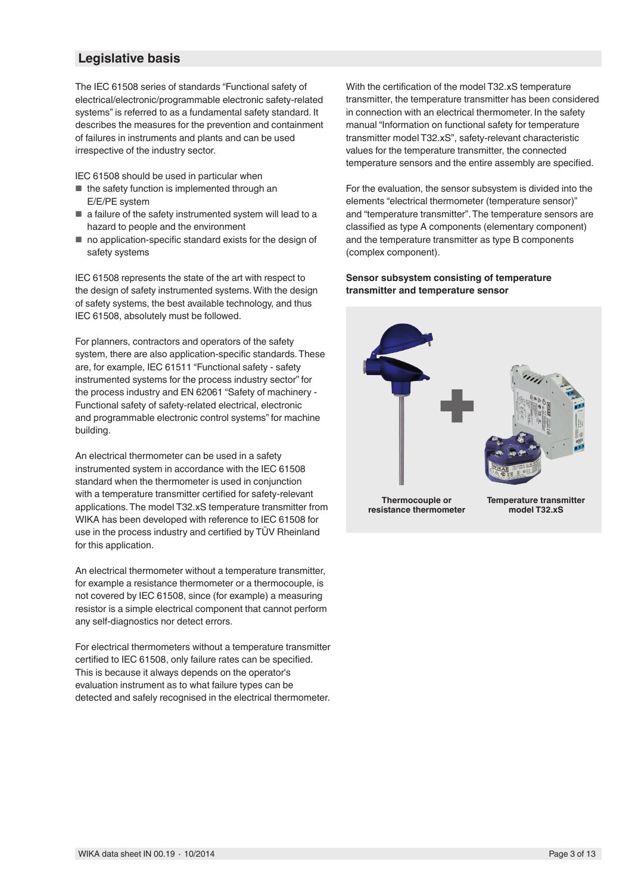### **Legislative basis**

The IEC 61508 series of standards "Functional safety of electrical/electronic/programmable electronic safety-related systems" is referred to as a fundamental safety standard. It describes the measures for the prevention and containment of failures in instruments and plants and can be used irrespective of the industry sector.

IEC 61508 should be used in particular when

- the safety function is implemented through an E/E/PE system
- a failure of the safety instrumented system will lead to a hazard to people and the environment
- no application-specific standard exists for the design of safety systems

IEC 61508 represents the state of the art with respect to the design of safety instrumented systems. With the design of safety systems, the best available technology, and thus IEC 61508, absolutely must be followed.

For planners, contractors and operators of the safety system, there are also application-specific standards. These are, for example, IEC 61511 "Functional safety - safety instrumented systems for the process industry sector" for the process industry and EN 62061 "Safety of machinery - Functional safety of safety-related electrical, electronic and programmable electronic control systems" for machine building.

An electrical thermometer can be used in a safety instrumented system in accordance with the IEC 61508 standard when the thermometer is used in conjunction with a temperature transmitter certified for safety-relevant applications. The model T32.xS temperature transmitter from WIKA has been developed with reference to IEC 61508 for use in the process industry and certified by TÜV Rheinland for this application.

An electrical thermometer without a temperature transmitter, for example a resistance thermometer or a thermocouple, is not covered by IEC 61508, since (for example) a measuring resistor is a simple electrical component that cannot perform any self-diagnostics nor detect errors.

For electrical thermometers without a temperature transmitter certified to IEC 61508, only failure rates can be specified. This is because it always depends on the operator's evaluation instrument as to what failure types can be detected and safely recognised in the electrical thermometer.

With the certification of the model T32.xS temperature transmitter, the temperature transmitter has been considered in connection with an electrical thermometer. In the safety manual "Information on functional safety for temperature transmitter model T32.xS", safety-relevant characteristic values for the temperature transmitter, the connected temperature sensors and the entire assembly are specified.

For the evaluation, the sensor subsystem is divided into the elements "electrical thermometer (temperature sensor)" and "temperature transmitter". The temperature sensors are classified as type A components (elementary component) and the temperature transmitter as type B components (complex component).

#### **Sensor subsystem consisting of temperature transmitter and temperature sensor**



**Thermocouple or resistance thermometer** **Temperature transmitter model T32.xS**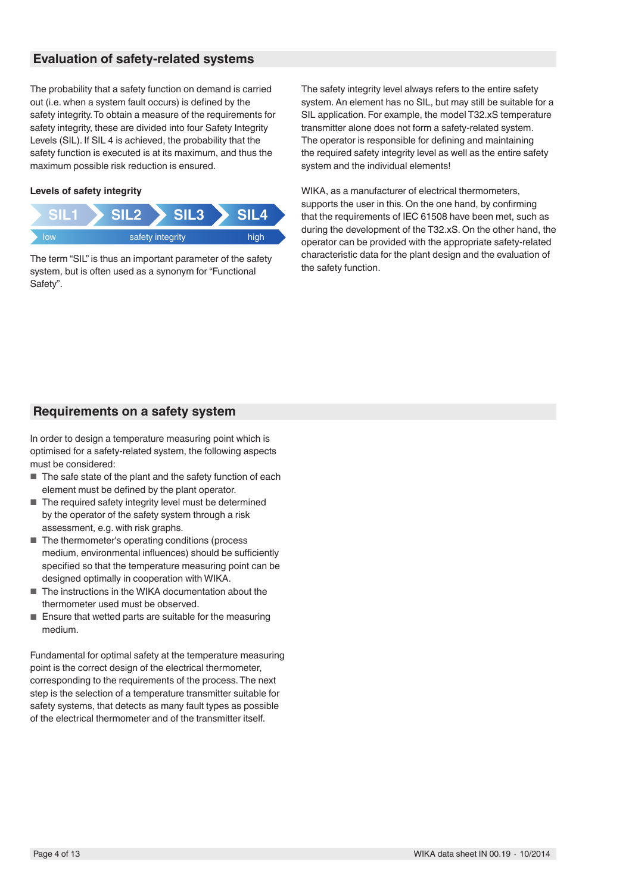## **Evaluation of safety-related systems**

The probability that a safety function on demand is carried out (i.e. when a system fault occurs) is defined by the safety integrity. To obtain a measure of the requirements for safety integrity, these are divided into four Safety Integrity Levels (SIL). If SIL 4 is achieved, the probability that the safety function is executed is at its maximum, and thus the maximum possible risk reduction is ensured.

#### **Levels of safety integrity**



The term "SIL" is thus an important parameter of the safety system, but is often used as a synonym for "Functional Safety".

The safety integrity level always refers to the entire safety system. An element has no SIL, but may still be suitable for a SIL application. For example, the model T32.xS temperature transmitter alone does not form a safety-related system. The operator is responsible for defining and maintaining the required safety integrity level as well as the entire safety system and the individual elements!

WIKA, as a manufacturer of electrical thermometers, supports the user in this. On the one hand, by confirming that the requirements of IEC 61508 have been met, such as during the development of the T32.xS. On the other hand, the operator can be provided with the appropriate safety-related characteristic data for the plant design and the evaluation of the safety function.

## **Requirements on a safety system**

In order to design a temperature measuring point which is optimised for a safety-related system, the following aspects must be considered:

- The safe state of the plant and the safety function of each element must be defined by the plant operator.
- The required safety integrity level must be determined by the operator of the safety system through a risk assessment, e.g. with risk graphs.
- The thermometer's operating conditions (process medium, environmental influences) should be sufficiently specified so that the temperature measuring point can be designed optimally in cooperation with WIKA.
- The instructions in the WIKA documentation about the thermometer used must be observed.
- Ensure that wetted parts are suitable for the measuring medium.

Fundamental for optimal safety at the temperature measuring point is the correct design of the electrical thermometer, corresponding to the requirements of the process. The next step is the selection of a temperature transmitter suitable for safety systems, that detects as many fault types as possible of the electrical thermometer and of the transmitter itself.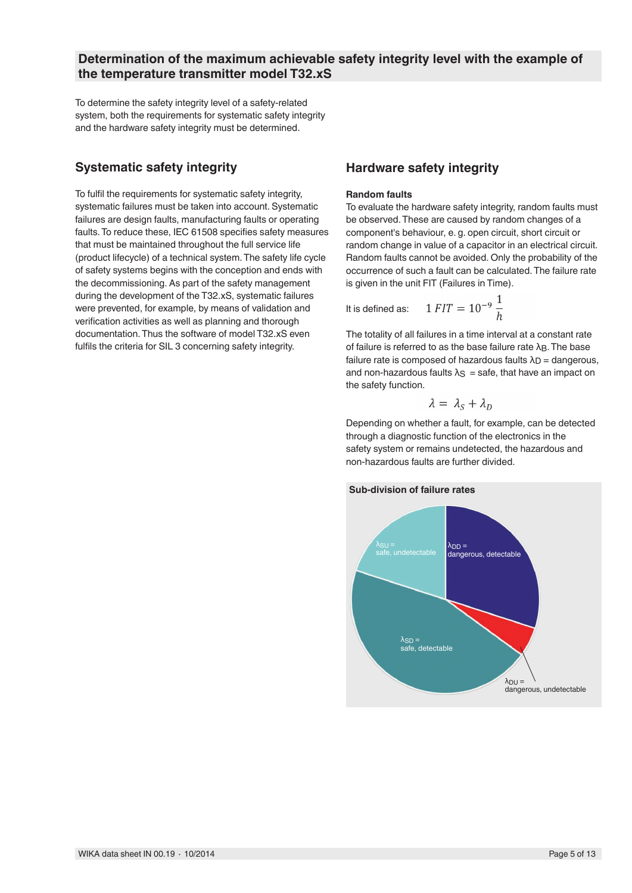### **Determination of the maximum achievable safety integrity level with the example of the temperature transmitter model T32.xS**

To determine the safety integrity level of a safety-related system, both the requirements for systematic safety integrity and the hardware safety integrity must be determined.

## **Systematic safety integrity**

To fulfil the requirements for systematic safety integrity, systematic failures must be taken into account. Systematic failures are design faults, manufacturing faults or operating faults. To reduce these, IEC 61508 specifies safety measures that must be maintained throughout the full service life (product lifecycle) of a technical system. The safety life cycle of safety systems begins with the conception and ends with the decommissioning. As part of the safety management during the development of the T32.xS, systematic failures were prevented, for example, by means of validation and verification activities as well as planning and thorough documentation. Thus the software of model T32.xS even fulfils the criteria for SIL 3 concerning safety integrity.

## **Hardware safety integrity**

#### **Random faults**

To evaluate the hardware safety integrity, random faults must be observed. These are caused by random changes of a component's behaviour, e. g. open circuit, short circuit or random change in value of a capacitor in an electrical circuit. Random faults cannot be avoided. Only the probability of the occurrence of such a fault can be calculated. The failure rate is given in the unit FIT (Failures in Time).

It is defined as:

$$
= 10^{-9} \frac{1}{h}
$$

 $1$   $FIT$ 

The totality of all failures in a time interval at a constant rate of failure is referred to as the base failure rate  $\lambda_B$ . The base failure rate is composed of hazardous faults  $\lambda_D$  = dangerous, and non-hazardous faults  $\lambda$ <sub>S</sub> = safe, that have an impact on the safety function.

$$
\lambda = \lambda_S + \lambda_D
$$

Depending on whether a fault, for example, can be detected through a diagnostic function of the electronics in the safety system or remains undetected, the hazardous and non-hazardous faults are further divided.



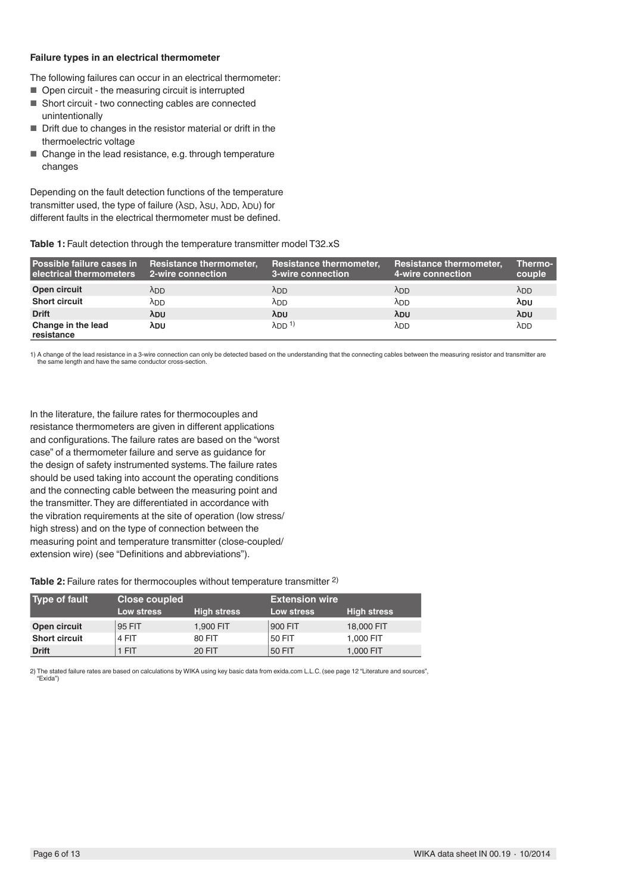#### **Failure types in an electrical thermometer**

The following failures can occur in an electrical thermometer:

- Open circuit the measuring circuit is interrupted
- Short circuit two connecting cables are connected unintentionally
- Drift due to changes in the resistor material or drift in the thermoelectric voltage
- Change in the lead resistance, e.g. through temperature changes

Depending on the fault detection functions of the temperature transmitter used, the type of failure ( $λ$ <sub>SD</sub>,  $λ$ <sub>SU</sub>,  $λ$ <sub>DD</sub>,  $λ$ <sub>DU</sub>) for different faults in the electrical thermometer must be defined.

### Table 1: Fault detection through the temperature transmitter model T32.xS

| Possible failure cases in Resistance thermometer,<br>l electrical thermometers | 2-wire connection | <b>Resistance thermometer,</b><br>3-wire connection | <b>Resistance thermometer,</b><br>4-wire connection | Thermo-<br>couple |
|--------------------------------------------------------------------------------|-------------------|-----------------------------------------------------|-----------------------------------------------------|-------------------|
| Open circuit                                                                   | <b>ADD</b>        | <b>ADD</b>                                          | <b>ADD</b>                                          | $\lambda_{DD}$    |
| <b>Short circuit</b>                                                           | λDD               | λDD                                                 | λDD                                                 | λDU               |
| <b>Drift</b>                                                                   | λ <sub>DU</sub>   | λ <sub>DU</sub>                                     | λ <sub>DU</sub>                                     | λ <sub>DU</sub>   |
| Change in the lead<br>resistance                                               | λου               | $\lambda$ DD <sup>1)</sup>                          | λ <sub>DD</sub>                                     | λ <sub>DD</sub>   |

1) A change of the lead resistance in a 3-wire connection can only be detected based on the understanding that the connecting cables between the measuring resistor and transmitter are the same length and have the same conductor cross-section.

In the literature, the failure rates for thermocouples and resistance thermometers are given in different applications and configurations. The failure rates are based on the "worst case" of a thermometer failure and serve as guidance for the design of safety instrumented systems. The failure rates should be used taking into account the operating conditions and the connecting cable between the measuring point and the transmitter. They are differentiated in accordance with the vibration requirements at the site of operation (low stress/ high stress) and on the type of connection between the measuring point and temperature transmitter (close-coupled/ extension wire) (see "Definitions and abbreviations").

### Table 2: Failure rates for thermocouples without temperature transmitter <sup>2)</sup>

| Type of fault \      | <b>Close coupled</b> |                    | <b>Extension wire</b> |                    |
|----------------------|----------------------|--------------------|-----------------------|--------------------|
|                      | Low stress           | <b>High stress</b> | Low stress            | <b>High stress</b> |
| Open circuit         | 95 FIT               | 1,900 FIT          | 900 FIT               | 18,000 FIT         |
| <b>Short circuit</b> | 4 FIT                | 80 FIT             | 50 FIT                | 1,000 FIT          |
| <b>Drift</b>         | 1 FIT                | <b>20 FIT</b>      | 50 FIT                | 1,000 FIT          |

2) The stated failure rates are based on calculations by WIKA using key basic data from exida.com L.L.C. (see page 12 "Literature and sources", "Exida")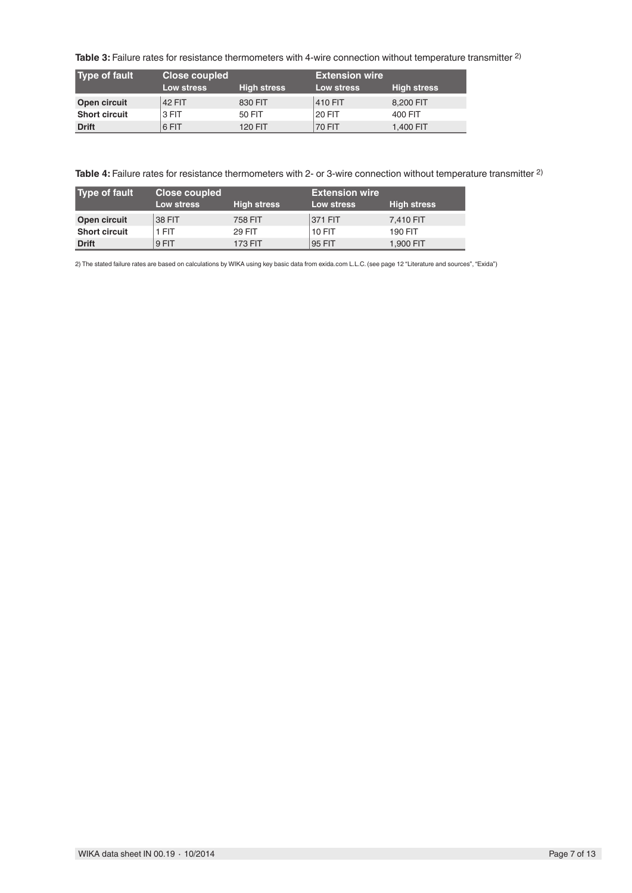**Table 3:** Failure rates for resistance thermometers with 4-wire connection without temperature transmitter 2)

| Type of fault        | Close coupled |                    | <b>Extension wire</b> |                    |
|----------------------|---------------|--------------------|-----------------------|--------------------|
|                      | Low stress    | <b>High stress</b> | Low stress            | <b>High stress</b> |
| Open circuit         | <b>42 FIT</b> | 830 FIT            | 410 FIT               | 8,200 FIT          |
| <b>Short circuit</b> | 3 FIT         | 50 FIT             | 20 FIT                | 400 FIT            |
| <b>Drift</b>         | 6 FIT         | <b>120 FIT</b>     | <b>70 FIT</b>         | 1.400 FIT          |

**Table 4:** Failure rates for resistance thermometers with 2- or 3-wire connection without temperature transmitter 2)

| Type of fault        | <b>Close coupled</b> |                    | <b>Extension wire</b> . |                    |
|----------------------|----------------------|--------------------|-------------------------|--------------------|
|                      | Low stress           | <b>High stress</b> | Low stress              | <b>High stress</b> |
| Open circuit         | 38 FIT               | 758 FIT            | 371 FIT                 | 7.410 FIT          |
| <b>Short circuit</b> | 1 FIT                | <b>29 FIT</b>      | <b>10 FIT</b>           | <b>190 FIT</b>     |
| <b>Drift</b>         | 9 FIT                | <b>173 FIT</b>     | 95 FIT                  | 1.900 FIT          |

2) The stated failure rates are based on calculations by WIKA using key basic data from exida.com L.L.C. (see page 12 "Literature and sources", "Exida")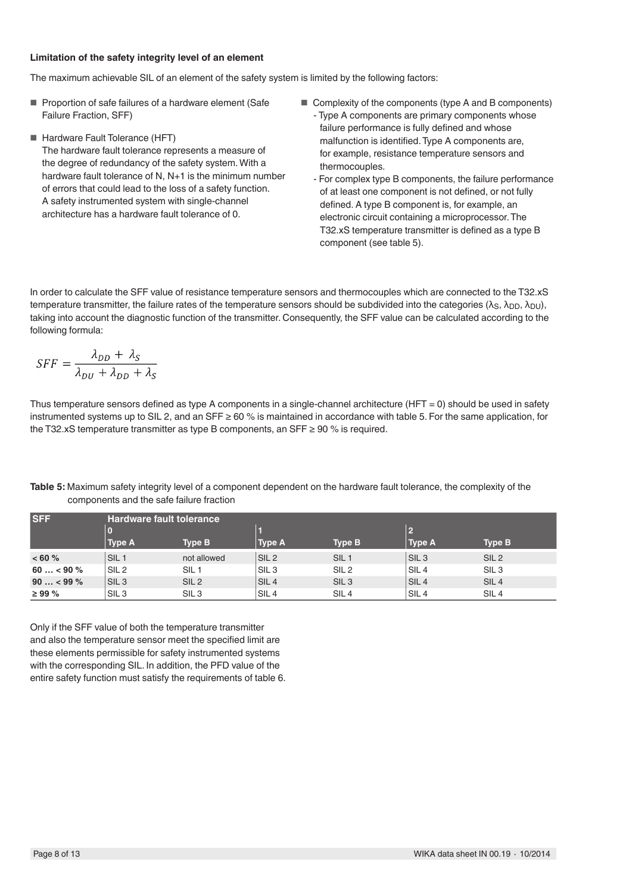#### **Limitation of the safety integrity level of an element**

The maximum achievable SIL of an element of the safety system is limited by the following factors:

- Proportion of safe failures of a hardware element (Safe Failure Fraction, SFF)
- Hardware Fault Tolerance (HFT) The hardware fault tolerance represents a measure of the degree of redundancy of the safety system. With a hardware fault tolerance of N, N+1 is the minimum number of errors that could lead to the loss of a safety function. A safety instrumented system with single-channel architecture has a hardware fault tolerance of 0.
- Complexity of the components (type A and B components)
	- Type A components are primary components whose failure performance is fully defined and whose malfunction is identified. Type A components are, for example, resistance temperature sensors and thermocouples.
	- For complex type B components, the failure performance of at least one component is not defined, or not fully defined. A type B component is, for example, an electronic circuit containing a microprocessor. The T32.xS temperature transmitter is defined as a type B component (see table 5).

In order to calculate the SFF value of resistance temperature sensors and thermocouples which are connected to the T32.xS temperature transmitter, the failure rates of the temperature sensors should be subdivided into the categories (λ<sub>S</sub>, λ<sub>DD</sub>, λ<sub>DU</sub>), taking into account the diagnostic function of the transmitter. Consequently, the SFF value can be calculated according to the following formula:

$$
SFF = \frac{\lambda_{DD} + \lambda_S}{\lambda_{DU} + \lambda_{DD} + \lambda_S}
$$

Thus temperature sensors defined as type A components in a single-channel architecture (HFT = 0) should be used in safety instrumented systems up to SIL 2, and an SFF  $\geq 60\%$  is maintained in accordance with table 5. For the same application, for the T32.xS temperature transmitter as type B components, an  $SFF \geq 90$  % is required.

| <b>SFF</b>  | <b>Hardware fault tolerance</b> |                  |                  |                  |                  |                  |
|-------------|---------------------------------|------------------|------------------|------------------|------------------|------------------|
|             | $\mathbf 0$                     |                  |                  |                  |                  |                  |
|             | <b>Type A</b>                   | <b>Type B</b>    | <b>Type A</b>    | <b>Type B</b>    | Type A           | <b>Type B</b>    |
| ~< 60%      | SIL <sub>1</sub>                | not allowed      | SIL <sub>2</sub> | SIL <sub>1</sub> | SIL <sub>3</sub> | SIL <sub>2</sub> |
| $60 < 90\%$ | SIL <sub>2</sub>                | SIL <sub>1</sub> | SIL <sub>3</sub> | SIL <sub>2</sub> | SIL <sub>4</sub> | SIL <sub>3</sub> |
| $90 < 99\%$ | SIL <sub>3</sub>                | SIL <sub>2</sub> | SIL <sub>4</sub> | SIL <sub>3</sub> | SIL <sub>4</sub> | SIL <sub>4</sub> |
| $\geq$ 99 % | SIL <sub>3</sub>                | SIL <sub>3</sub> | SIL <sub>4</sub> | SIL <sub>4</sub> | SIL <sub>4</sub> | SIL <sub>4</sub> |

**Table 5:** Maximum safety integrity level of a component dependent on the hardware fault tolerance, the complexity of the components and the safe failure fraction

Only if the SFF value of both the temperature transmitter and also the temperature sensor meet the specified limit are these elements permissible for safety instrumented systems with the corresponding SIL. In addition, the PFD value of the entire safety function must satisfy the requirements of table 6.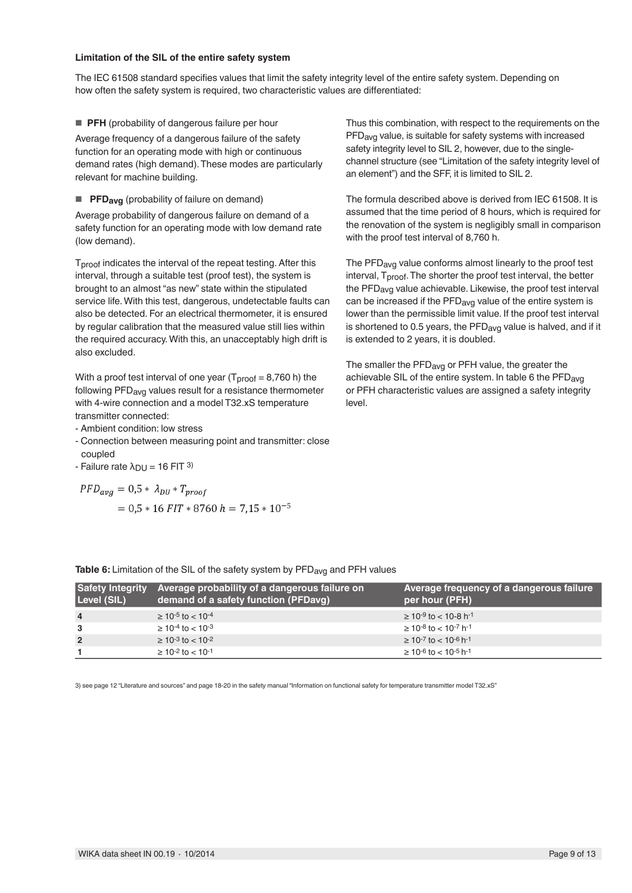#### **Limitation of the SIL of the entire safety system**

The IEC 61508 standard specifies values that limit the safety integrity level of the entire safety system. Depending on how often the safety system is required, two characteristic values are differentiated:

■ **PFH** (probability of dangerous failure per hour

Average frequency of a dangerous failure of the safety function for an operating mode with high or continuous demand rates (high demand). These modes are particularly relevant for machine building.

■ **PFDavg** (probability of failure on demand)

Average probability of dangerous failure on demand of a safety function for an operating mode with low demand rate (low demand).

Tproof indicates the interval of the repeat testing. After this interval, through a suitable test (proof test), the system is brought to an almost "as new" state within the stipulated service life. With this test, dangerous, undetectable faults can also be detected. For an electrical thermometer, it is ensured by regular calibration that the measured value still lies within the required accuracy. With this, an unacceptably high drift is also excluded.

With a proof test interval of one year  $(T_{\text{proof}} = 8,760 \text{ h})$  the following PFDavg values result for a resistance thermometer with 4-wire connection and a model T32.xS temperature transmitter connected:

- Ambient condition: low stress
- Connection between measuring point and transmitter: close coupled
- Failure rate  $λ_{DU} = 16$  FIT 3)

 $PFD_{avg} = 0.5 * \lambda_{DU} * T_{proof}$  $= 0.5 * 16$  FIT  $* 8760$  h = 7.15  $* 10^{-5}$  Thus this combination, with respect to the requirements on the PFD<sub>avg</sub> value, is suitable for safety systems with increased safety integrity level to SIL 2, however, due to the singlechannel structure (see "Limitation of the safety integrity level of an element") and the SFF, it is limited to SIL 2.

The formula described above is derived from IEC 61508. It is assumed that the time period of 8 hours, which is required for the renovation of the system is negligibly small in comparison with the proof test interval of 8,760 h.

The PFD<sub>avg</sub> value conforms almost linearly to the proof test interval, T<sub>proof</sub>. The shorter the proof test interval, the better the PFDavg value achievable. Likewise, the proof test interval can be increased if the PFD<sub>avg</sub> value of the entire system is lower than the permissible limit value. If the proof test interval is shortened to 0.5 years, the PFD<sub>avg</sub> value is halved, and if it is extended to 2 years, it is doubled.

The smaller the PFD<sub>avg</sub> or PFH value, the greater the achievable SIL of the entire system. In table 6 the PFDavg or PFH characteristic values are assigned a safety integrity level.

**Table 6:** Limitation of the SIL of the safety system by PFD<sub>avg</sub> and PFH values

| <b>Safety Integrity</b><br>Level (SIL) | Average probability of a dangerous failure on<br>demand of a safety function (PFDavg) | Average frequency of a dangerous failure<br>per hour (PFH) |
|----------------------------------------|---------------------------------------------------------------------------------------|------------------------------------------------------------|
| $\overline{4}$                         | $\geq 10^{-5}$ to $< 10^{-4}$                                                         | $\geq 10^{-9}$ to $< 10^{-8}$ h <sup>-1</sup>              |
| 3                                      | $\geq 10^{-4}$ to $< 10^{-3}$                                                         | $\geq 10^{-8}$ to $< 10^{-7}$ h <sup>-1</sup>              |
| $\overline{2}$                         | $\geq 10^{-3}$ to $< 10^{-2}$                                                         | $\geq 10^{-7}$ to $< 10^{-6}$ h <sup>-1</sup>              |
|                                        | $\geq 10^{-2}$ to $< 10^{-1}$                                                         | $\geq 10^{-6}$ to $< 10^{-5}$ h <sup>-1</sup>              |

3) see page 12 "Literature and sources" and page 18-20 in the safety manual "Information on functional safety for temperature transmitter model T32.xS"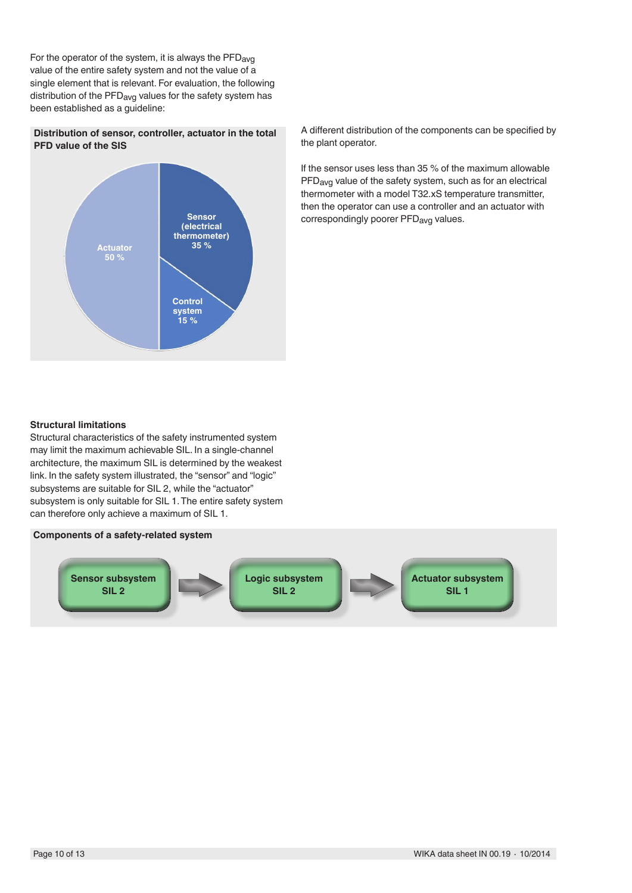For the operator of the system, it is always the PFD<sub>avg</sub> value of the entire safety system and not the value of a single element that is relevant. For evaluation, the following distribution of the PFD<sub>avg</sub> values for the safety system has been established as a guideline:

### **Distribution of sensor, controller, actuator in the total PFD value of the SIS**



A different distribution of the components can be specified by the plant operator.

If the sensor uses less than 35 % of the maximum allowable PFDavg value of the safety system, such as for an electrical thermometer with a model T32.xS temperature transmitter, then the operator can use a controller and an actuator with correspondingly poorer PFD<sub>avg</sub> values.

#### **Structural limitations**

Structural characteristics of the safety instrumented system may limit the maximum achievable SIL. In a single-channel architecture, the maximum SIL is determined by the weakest link. In the safety system illustrated, the "sensor" and "logic" subsystems are suitable for SIL 2, while the "actuator" subsystem is only suitable for SIL 1. The entire safety system can therefore only achieve a maximum of SIL 1.

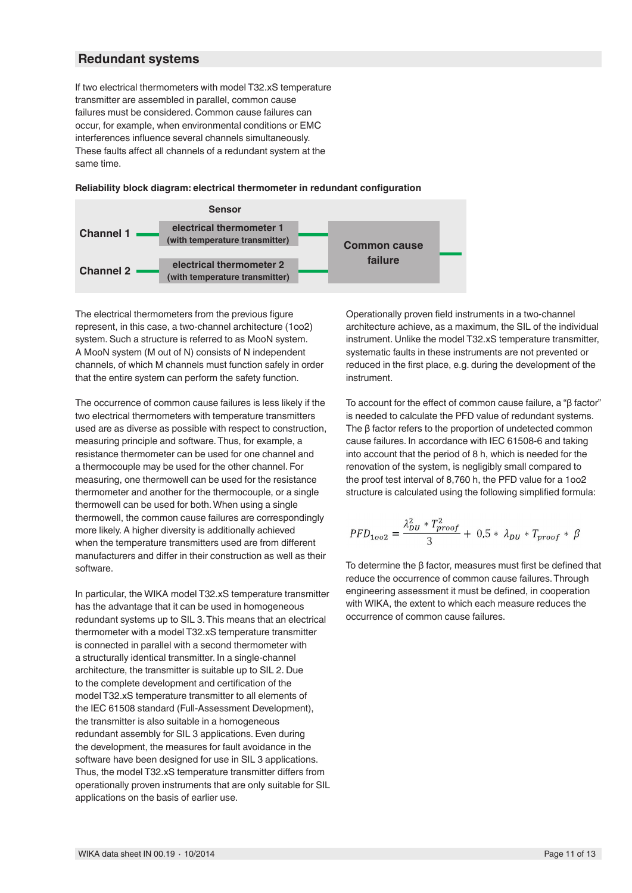### **Redundant systems**

If two electrical thermometers with model T32.xS temperature transmitter are assembled in parallel, common cause failures must be considered. Common cause failures can occur, for example, when environmental conditions or EMC interferences influence several channels simultaneously. These faults affect all channels of a redundant system at the same time.

#### **Reliability block diagram: electrical thermometer in redundant configuration**



The electrical thermometers from the previous figure represent, in this case, a two-channel architecture (1oo2) system. Such a structure is referred to as MooN system. A MooN system (M out of N) consists of N independent channels, of which M channels must function safely in order that the entire system can perform the safety function.

The occurrence of common cause failures is less likely if the two electrical thermometers with temperature transmitters used are as diverse as possible with respect to construction, measuring principle and software. Thus, for example, a resistance thermometer can be used for one channel and a thermocouple may be used for the other channel. For measuring, one thermowell can be used for the resistance thermometer and another for the thermocouple, or a single thermowell can be used for both. When using a single thermowell, the common cause failures are correspondingly more likely. A higher diversity is additionally achieved when the temperature transmitters used are from different manufacturers and differ in their construction as well as their software.

In particular, the WIKA model T32.xS temperature transmitter has the advantage that it can be used in homogeneous redundant systems up to SIL 3. This means that an electrical thermometer with a model T32.xS temperature transmitter is connected in parallel with a second thermometer with a structurally identical transmitter. In a single-channel architecture, the transmitter is suitable up to SIL 2. Due to the complete development and certification of the model T32.xS temperature transmitter to all elements of the IEC 61508 standard (Full-Assessment Development), the transmitter is also suitable in a homogeneous redundant assembly for SIL 3 applications. Even during the development, the measures for fault avoidance in the software have been designed for use in SIL 3 applications. Thus, the model T32.xS temperature transmitter differs from operationally proven instruments that are only suitable for SIL applications on the basis of earlier use.

Operationally proven field instruments in a two-channel architecture achieve, as a maximum, the SIL of the individual instrument. Unlike the model T32.xS temperature transmitter, systematic faults in these instruments are not prevented or reduced in the first place, e.g. during the development of the instrument.

To account for the effect of common cause failure, a "β factor" is needed to calculate the PFD value of redundant systems. The β factor refers to the proportion of undetected common cause failures. In accordance with IEC 61508-6 and taking into account that the period of 8 h, which is needed for the renovation of the system, is negligibly small compared to the proof test interval of 8,760 h, the PFD value for a 1oo2 structure is calculated using the following simplified formula:

$$
PFD_{1002} = \frac{\lambda_{DU}^2 * T_{proof}^2}{3} + 0.5 * \lambda_{DU} * T_{proof} * \beta
$$

To determine the β factor, measures must first be defined that reduce the occurrence of common cause failures. Through engineering assessment it must be defined, in cooperation with WIKA, the extent to which each measure reduces the occurrence of common cause failures.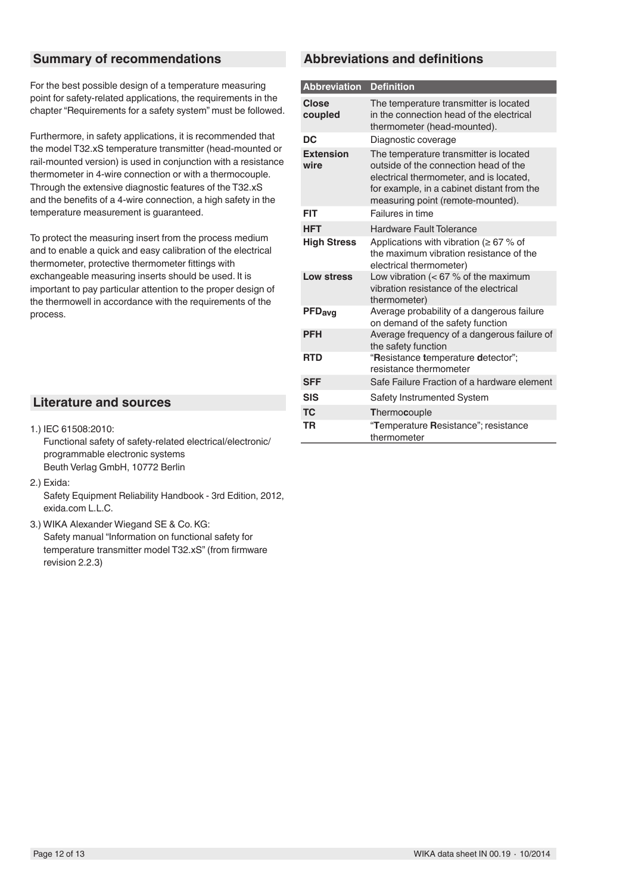## **Summary of recommendations**

For the best possible design of a temperature measuring point for safety-related applications, the requirements in the chapter "Requirements for a safety system" must be followed.

Furthermore, in safety applications, it is recommended that the model T32.xS temperature transmitter (head-mounted or rail-mounted version) is used in conjunction with a resistance thermometer in 4-wire connection or with a thermocouple. Through the extensive diagnostic features of the T32.xS and the benefits of a 4-wire connection, a high safety in the temperature measurement is guaranteed.

To protect the measuring insert from the process medium and to enable a quick and easy calibration of the electrical thermometer, protective thermometer fittings with exchangeable measuring inserts should be used. It is important to pay particular attention to the proper design of the thermowell in accordance with the requirements of the process.

## **Literature and sources**

1.) IEC 61508:2010:

Functional safety of safety-related electrical/electronic/ programmable electronic systems Beuth Verlag GmbH, 10772 Berlin

2.) Exida:

Safety Equipment Reliability Handbook - 3rd Edition, 2012, exida.com L.L.C.

3.) WIKA Alexander Wiegand SE & Co. KG: Safety manual "Information on functional safety for temperature transmitter model T32.xS" (from firmware revision 2.2.3)

## **Abbreviations and definitions**

| <b>Abbreviation</b>      | <b>Definition</b>                                                                                                                                                                                             |
|--------------------------|---------------------------------------------------------------------------------------------------------------------------------------------------------------------------------------------------------------|
| <b>Close</b><br>coupled  | The temperature transmitter is located<br>in the connection head of the electrical<br>thermometer (head-mounted).                                                                                             |
| DC                       | Diagnostic coverage                                                                                                                                                                                           |
| <b>Extension</b><br>wire | The temperature transmitter is located<br>outside of the connection head of the<br>electrical thermometer, and is located,<br>for example, in a cabinet distant from the<br>measuring point (remote-mounted). |
| FIT                      | Failures in time                                                                                                                                                                                              |
| <b>HFT</b>               | <b>Hardware Fault Tolerance</b>                                                                                                                                                                               |
| <b>High Stress</b>       | Applications with vibration ( $\geq 67$ % of<br>the maximum vibration resistance of the<br>electrical thermometer)                                                                                            |
| Low stress               | Low vibration ( $<$ 67 % of the maximum<br>vibration resistance of the electrical<br>thermometer)                                                                                                             |
| PFDavg                   | Average probability of a dangerous failure<br>on demand of the safety function                                                                                                                                |
| <b>PFH</b>               | Average frequency of a dangerous failure of<br>the safety function                                                                                                                                            |
| <b>RTD</b>               | "Resistance temperature detector";<br>resistance thermometer                                                                                                                                                  |
| <b>SFF</b>               | Safe Failure Fraction of a hardware element                                                                                                                                                                   |
| <b>SIS</b>               | <b>Safety Instrumented System</b>                                                                                                                                                                             |
| <b>TC</b>                | Thermocouple                                                                                                                                                                                                  |
| TR                       | "Temperature Resistance"; resistance<br>thermometer                                                                                                                                                           |